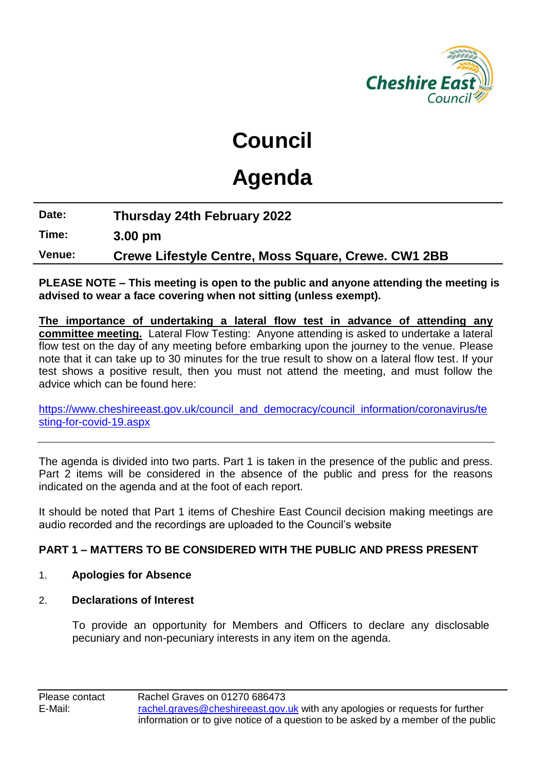

# **Council**

# **Agenda**

**Date: Thursday 24th February 2022**

**Time: 3.00 pm**

**Venue: Crewe Lifestyle Centre, Moss Square, Crewe. CW1 2BB**

**PLEASE NOTE – This meeting is open to the public and anyone attending the meeting is advised to wear a face covering when not sitting (unless exempt).**

**The importance of undertaking a lateral flow test in advance of attending any committee meeting.** Lateral Flow Testing: Anyone attending is asked to undertake a lateral flow test on the day of any meeting before embarking upon the journey to the venue. Please note that it can take up to 30 minutes for the true result to show on a lateral flow test. If your test shows a positive result, then you must not attend the meeting, and must follow the advice which can be found here:

[https://www.cheshireeast.gov.uk/council\\_and\\_democracy/council\\_information/coronavirus/te](https://www.cheshireeast.gov.uk/council_and_democracy/council_information/coronavirus/testing-for-covid-19.aspx) [sting-for-covid-19.aspx](https://www.cheshireeast.gov.uk/council_and_democracy/council_information/coronavirus/testing-for-covid-19.aspx)

The agenda is divided into two parts. Part 1 is taken in the presence of the public and press. Part 2 items will be considered in the absence of the public and press for the reasons indicated on the agenda and at the foot of each report.

It should be noted that Part 1 items of Cheshire East Council decision making meetings are audio recorded and the recordings are uploaded to the Council's website

# **PART 1 – MATTERS TO BE CONSIDERED WITH THE PUBLIC AND PRESS PRESENT**

# 1. **Apologies for Absence**

# 2. **Declarations of Interest**

To provide an opportunity for Members and Officers to declare any disclosable pecuniary and non-pecuniary interests in any item on the agenda.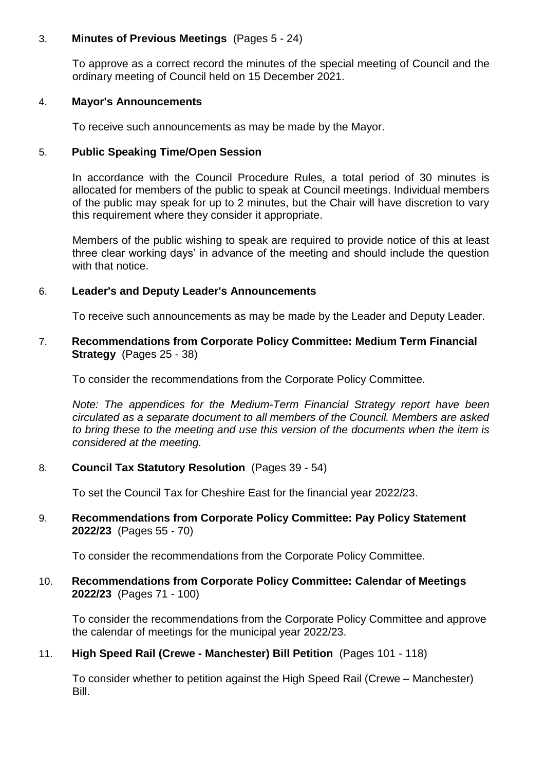# 3. **Minutes of Previous Meetings** (Pages 5 - 24)

To approve as a correct record the minutes of the special meeting of Council and the ordinary meeting of Council held on 15 December 2021.

#### 4. **Mayor's Announcements**

To receive such announcements as may be made by the Mayor.

#### 5. **Public Speaking Time/Open Session**

In accordance with the Council Procedure Rules, a total period of 30 minutes is allocated for members of the public to speak at Council meetings. Individual members of the public may speak for up to 2 minutes, but the Chair will have discretion to vary this requirement where they consider it appropriate.

Members of the public wishing to speak are required to provide notice of this at least three clear working days' in advance of the meeting and should include the question with that notice.

#### 6. **Leader's and Deputy Leader's Announcements**

To receive such announcements as may be made by the Leader and Deputy Leader.

#### 7. **Recommendations from Corporate Policy Committee: Medium Term Financial Strategy** (Pages 25 - 38)

To consider the recommendations from the Corporate Policy Committee.

*Note: The appendices for the Medium-Term Financial Strategy report have been circulated as a separate document to all members of the Council. Members are asked to bring these to the meeting and use this version of the documents when the item is considered at the meeting.*

# 8. **Council Tax Statutory Resolution** (Pages 39 - 54)

To set the Council Tax for Cheshire East for the financial year 2022/23.

#### 9. **Recommendations from Corporate Policy Committee: Pay Policy Statement 2022/23** (Pages 55 - 70)

To consider the recommendations from the Corporate Policy Committee.

# 10. **Recommendations from Corporate Policy Committee: Calendar of Meetings 2022/23** (Pages 71 - 100)

To consider the recommendations from the Corporate Policy Committee and approve the calendar of meetings for the municipal year 2022/23.

# 11. **High Speed Rail (Crewe - Manchester) Bill Petition** (Pages 101 - 118)

To consider whether to petition against the High Speed Rail (Crewe – Manchester) Bill.